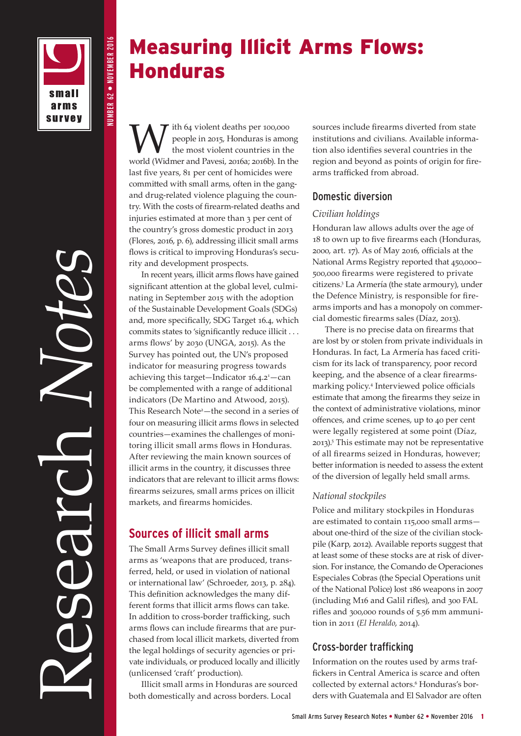

Research *Notes*

NUMBER 62 • NOVEMBER 2016

**NUMBER 62 • NOVEMBER 2016** 

Measuring Illicit Arms Flows: Honduras

With 64 violent deaths per 100,000<br>the most violent countries in the world (Widmar and Payeri, 2016a; 2016b). In the people in 2015, Honduras is among the most violent countries in the world (Widmer and Pavesi, 2016a; 2016b). In the last five years, 81 per cent of homicides were committed with small arms, often in the gangand drug-related violence plaguing the country. With the costs of firearm-related deaths and injuries estimated at more than 3 per cent of the country's gross domestic product in 2013 (Flores, 2016, p. 6), addressing illicit small arms flows is critical to improving Honduras's security and development prospects.

In recent years, illicit arms flows have gained significant attention at the global level, culminating in September 2015 with the adoption of the Sustainable Development Goals (SDGs) and, more specifically, SDG Target 16.4, which commits states to 'significantly reduce illicit . . . arms flows' by 2030 (UNGA, 2015). As the Survey has pointed out, the UN's proposed indicator for measuring progress towards achieving this target-Indicator 16.4.2<sup>1</sup> - can be complemented with a range of additional indicators (De Martino and Atwood, 2015). This Research Note<sup>2</sup>-the second in a series of four on measuring illicit arms flows in selected countries—examines the challenges of monitoring illicit small arms flows in Honduras. After reviewing the main known sources of illicit arms in the country, it discusses three indicators that are relevant to illicit arms flows: firearms seizures, small arms prices on illicit markets, and firearms homicides.

# **Sources of illicit small arms**

The Small Arms Survey defines illicit small arms as 'weapons that are produced, transferred, held, or used in violation of national or international law' (Schroeder, 2013, p. 284). This definition acknowledges the many different forms that illicit arms flows can take. In addition to cross-border trafficking, such arms flows can include firearms that are purchased from local illicit markets, diverted from the legal holdings of security agencies or private individuals, or produced locally and illicitly (unlicensed 'craft' production).

Illicit small arms in Honduras are sourced both domestically and across borders. Local

sources include firearms diverted from state institutions and civilians. Available information also identifies several countries in the region and beyond as points of origin for firearms trafficked from abroad.

### Domestic diversion

### *Civilian holdings*

Honduran law allows adults over the age of 18 to own up to five firearms each (Honduras, 2000, art. 17). As of May 2016, officials at the National Arms Registry reported that 450,000– 500,000 firearms were registered to private citizens.3 La Armería (the state armoury), under the Defence Ministry, is responsible for firearms imports and has a monopoly on commercial domestic firearms sales (Díaz, 2013).

There is no precise data on firearms that are lost by or stolen from private individuals in Honduras. In fact, La Armería has faced criticism for its lack of transparency, poor record keeping, and the absence of a clear firearmsmarking policy.4 Interviewed police officials estimate that among the firearms they seize in the context of administrative violations, minor offences, and crime scenes, up to 40 per cent were legally registered at some point (Díaz, 2013).5 This estimate may not be representative of all firearms seized in Honduras, however; better information is needed to assess the extent of the diversion of legally held small arms.

### *National stockpiles*

Police and military stockpiles in Honduras are estimated to contain 115,000 small arms about one-third of the size of the civilian stockpile (Karp, 2012). Available reports suggest that at least some of these stocks are at risk of diversion. For instance, the Comando de Operaciones Especiales Cobras (the Special Operations unit of the National Police) lost 186 weapons in 2007 (including M16 and Galil rifles), and 300 FAL rifles and 300,000 rounds of 5.56 mm ammunition in 2011 (*El Heraldo*, 2014).

# Cross-border trafficking

Information on the routes used by arms traffickers in Central America is scarce and often collected by external actors.<sup>6</sup> Honduras's borders with Guatemala and El Salvador are often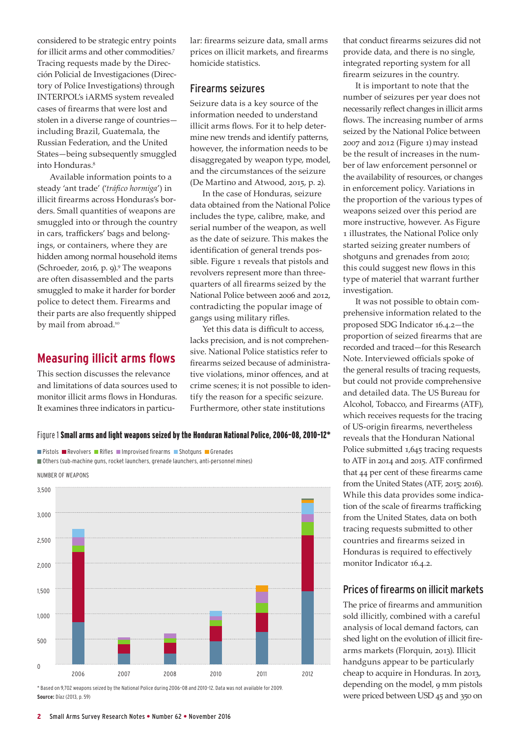considered to be strategic entry points for illicit arms and other commodities.7 Tracing requests made by the Dirección Policial de Investigaciones (Directory of Police Investigations) through INTERPOL's iARMS system revealed cases of firearms that were lost and stolen in a diverse range of countries including Brazil, Guatemala, the Russian Federation, and the United States—being subsequently smuggled into Honduras.8

Available information points to a steady 'ant trade' ('*tráfico hormiga*') in illicit firearms across Honduras's borders. Small quantities of weapons are smuggled into or through the country in cars, traffickers' bags and belongings, or containers, where they are hidden among normal household items (Schroeder, 2016, p. 9).9 The weapons are often disassembled and the parts smuggled to make it harder for border police to detect them. Firearms and their parts are also frequently shipped by mail from abroad.<sup>10</sup>

# **Measuring illicit arms flows**

This section discusses the relevance and limitations of data sources used to monitor illicit arms flows in Honduras. It examines three indicators in particu-

**Pistols Revolvers Rifles Improvised firearms Shotguns Grenades** 

lar: firearms seizure data, small arms prices on illicit markets, and firearms homicide statistics.

### Firearms seizures

Seizure data is a key source of the information needed to understand illicit arms flows. For it to help determine new trends and identify patterns, however, the information needs to be disaggregated by weapon type, model, and the circumstances of the seizure (De Martino and Atwood, 2015, p. 2).

In the case of Honduras, seizure data obtained from the National Police includes the type, calibre, make, and serial number of the weapon, as well as the date of seizure. This makes the identification of general trends possible. Figure 1 reveals that pistols and revolvers represent more than threequarters of all firearms seized by the National Police between 2006 and 2012, contradicting the popular image of gangs using military rifles.

Yet this data is difficult to access, lacks precision, and is not comprehensive. National Police statistics refer to firearms seized because of administrative violations, minor offences, and at crime scenes; it is not possible to identify the reason for a specific seizure. Furthermore, other state institutions

that conduct firearms seizures did not provide data, and there is no single, integrated reporting system for all firearm seizures in the country.

It is important to note that the number of seizures per year does not necessarily reflect changes in illicit arms flows. The increasing number of arms seized by the National Police between 2007 and 2012 (Figure 1) may instead be the result of increases in the number of law enforcement personnel or the availability of resources, or changes in enforcement policy. Variations in the proportion of the various types of weapons seized over this period are more instructive, however. As Figure 1 illustrates, the National Police only started seizing greater numbers of shotguns and grenades from 2010; this could suggest new flows in this type of materiel that warrant further investigation.

It was not possible to obtain comprehensive information related to the proposed SDG Indicator 16.4.2—the proportion of seized firearms that are recorded and traced—for this Research Note. Interviewed officials spoke of the general results of tracing requests, but could not provide comprehensive and detailed data. The US Bureau for Alcohol, Tobacco, and Firearms (ATF), which receives requests for the tracing of US-origin firearms, nevertheless reveals that the Honduran National Police submitted 1,645 tracing requests to ATF in 2014 and 2015. ATF confirmed that 44 per cent of these firearms came from the United States (ATF, 2015; 2016). While this data provides some indication of the scale of firearms trafficking from the United States, data on both tracing requests submitted to other countries and firearms seized in Honduras is required to effectively monitor Indicator 16.4.2.

# Prices of firearms on illicit markets

The price of firearms and ammunition sold illicitly, combined with a careful analysis of local demand factors, can shed light on the evolution of illicit firearms markets (Florquin, 2013). Illicit handguns appear to be particularly cheap to acquire in Honduras. In 2013, depending on the model, 9 mm pistols were priced between USD 45 and 350 on

### Figure 1 Small arms and light weapons seized by the Honduran National Police, 2006–08, 2010–12\*

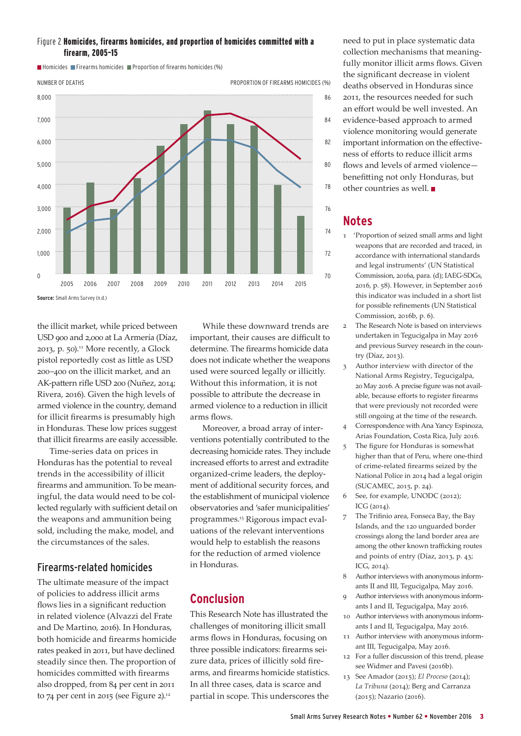#### Figure 2 Homicides, firearms homicides, and proportion of homicides committed with a firearm, 2005–15

8,000 7,000 6,000 5,000 4,000 3,000 2,000 1,000  $\Omega$ 86 84 82 80 78 76 74 72 70 2005 2006 2007 2008 2009 2010 2011 2012 2013 2014 2015 **Source:** Small Arms Survey (n.d.) NUMBER OF DEATHS PROPORTION OF FIREARMS HOMICIDES (%)

 $\blacksquare$  Homicides  $\blacksquare$  Firearms homicides  $\blacksquare$  Proportion of firearms homicides (%)

the illicit market, while priced between USD 900 and 2,000 at La Armería (Díaz, 2013, p. 50). $11$  More recently, a Glock pistol reportedly cost as little as USD 200–400 on the illicit market, and an AK-pattern rifle USD 200 (Nuñez, 2014; Rivera, 2016). Given the high levels of armed violence in the country, demand for illicit firearms is presumably high in Honduras. These low prices suggest that illicit firearms are easily accessible.

Time-series data on prices in Honduras has the potential to reveal trends in the accessibility of illicit firearms and ammunition. To be meaningful, the data would need to be collected regularly with sufficient detail on the weapons and ammunition being sold, including the make, model, and the circumstances of the sales.

### Firearms-related homicides

The ultimate measure of the impact of policies to address illicit arms flows lies in a significant reduction in related violence (Alvazzi del Frate and De Martino, 2016). In Honduras, both homicide and firearms homicide rates peaked in 2011, but have declined steadily since then. The proportion of homicides committed with firearms also dropped, from 84 per cent in 2011 to 74 per cent in 2015 (see Figure 2). $12$ 

While these downward trends are important, their causes are difficult to determine. The firearms homicide data does not indicate whether the weapons used were sourced legally or illicitly. Without this information, it is not possible to attribute the decrease in armed violence to a reduction in illicit arms flows.

Moreover, a broad array of interventions potentially contributed to the decreasing homicide rates. They include increased efforts to arrest and extradite organized-crime leaders, the deployment of additional security forces, and the establishment of municipal violence observatories and 'safer municipalities' programmes.13 Rigorous impact evaluations of the relevant interventions would help to establish the reasons for the reduction of armed violence in Honduras.

# **Conclusion**

This Research Note has illustrated the challenges of monitoring illicit small arms flows in Honduras, focusing on three possible indicators: firearms seizure data, prices of illicitly sold firearms, and firearms homicide statistics. In all three cases, data is scarce and partial in scope. This underscores the

need to put in place systematic data collection mechanisms that meaningfully monitor illicit arms flows. Given the significant decrease in violent deaths observed in Honduras since 2011, the resources needed for such an effort would be well invested. An evidence-based approach to armed violence monitoring would generate important information on the effectiveness of efforts to reduce illicit arms flows and levels of armed violence benefitting not only Honduras, but other countries as well.

# **Notes**

- 1 'Proportion of seized small arms and light weapons that are recorded and traced, in accordance with international standards and legal instruments' (UN Statistical Commission, 2016a, para. (d); IAEG-SDGs, 2016, p. 58). However, in September 2016 this indicator was included in a short list for possible refinements (UN Statistical Commission, 2016b, p. 6).
- 2 The Research Note is based on interviews undertaken in Tegucigalpa in May 2016 and previous Survey research in the country (Díaz, 2013).
- 3 Author interview with director of the National Arms Registry, Tegucigalpa, 20 May 2016. A precise figure was not available, because efforts to register firearms that were previously not recorded were still ongoing at the time of the research.
- 4 Correspondence with Ana Yancy Espinoza, Arias Foundation, Costa Rica, July 2016.
- 5 The figure for Honduras is somewhat higher than that of Peru, where one-third of crime-related firearms seized by the National Police in 2014 had a legal origin (SUCAMEC, 2015, p. 24).
- 6 See, for example, UNODC (2012); ICG (2014).
- 7 The Trifinio area, Fonseca Bay, the Bay Islands, and the 120 unguarded border crossings along the land border area are among the other known trafficking routes and points of entry (Díaz, 2013, p. 43; ICG, 2014).
- 8 Author interviews with anonymous informants II and III, Tegucigalpa, May 2016.
- 9 Author interviews with anonymous informants I and II, Tegucigalpa, May 2016.
- 10 Author interviews with anonymous informants I and II, Tegucigalpa, May 2016.
- 11 Author interview with anonymous informant III, Tegucigalpa, May 2016.
- 12 For a fuller discussion of this trend, please see Widmer and Pavesi (2016b).
- 13 See Amador (2015); *El Proceso* (2014); *La Tribuna* (2014); Berg and Carranza (2015); Nazario (2016).